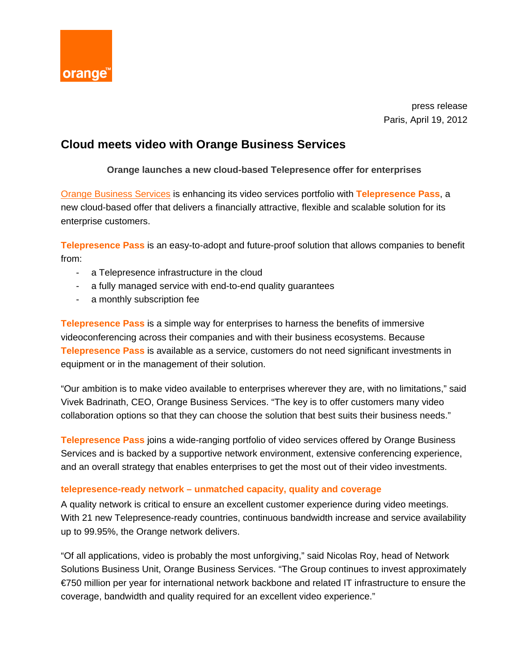

press release Paris, April 19, 2012

# **Cloud meets video with Orange Business Services**

# **Orange launches a new cloud-based Telepresence offer for enterprises**

[Orange Business Services](http://www.orange-business.com/en/mnc2/) is enhancing its video services portfolio with **Telepresence Pass**, a new cloud-based offer that delivers a financially attractive, flexible and scalable solution for its enterprise customers.

**Telepresence Pass** is an easy-to-adopt and future-proof solution that allows companies to benefit from:

- a Telepresence infrastructure in the cloud
- a fully managed service with end-to-end quality guarantees
- a monthly subscription fee

**Telepresence Pass** is a simple way for enterprises to harness the benefits of immersive videoconferencing across their companies and with their business ecosystems. Because **Telepresence Pass** is available as a service, customers do not need significant investments in equipment or in the management of their solution.

"Our ambition is to make video available to enterprises wherever they are, with no limitations," said Vivek Badrinath, CEO, Orange Business Services. "The key is to offer customers many video collaboration options so that they can choose the solution that best suits their business needs."

**Telepresence Pass** joins a wide-ranging portfolio of video services offered by Orange Business Services and is backed by a supportive network environment, extensive conferencing experience, and an overall strategy that enables enterprises to get the most out of their video investments.

## **telepresence-ready network – unmatched capacity, quality and coverage**

A quality network is critical to ensure an excellent customer experience during video meetings. With 21 new Telepresence-ready countries, continuous bandwidth increase and service availability up to 99.95%, the Orange network delivers.

"Of all applications, video is probably the most unforgiving," said Nicolas Roy, head of Network Solutions Business Unit, Orange Business Services. "The Group continues to invest approximately €750 million per year for international network backbone and related IT infrastructure to ensure the coverage, bandwidth and quality required for an excellent video experience."